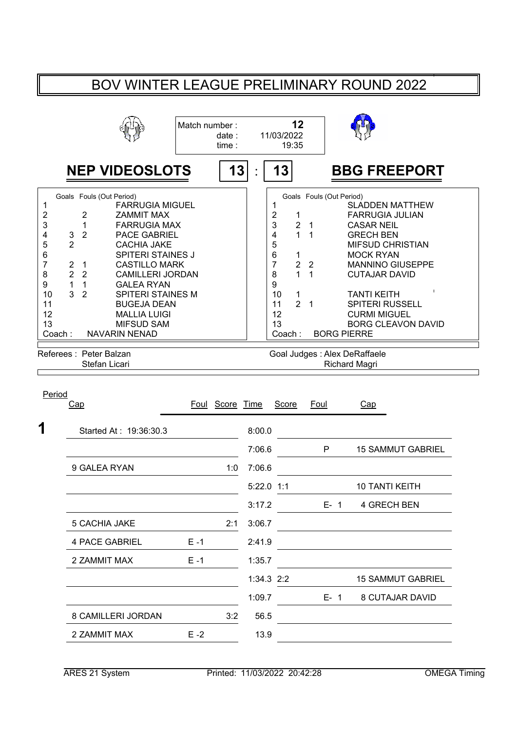## BOV WINTER LEAGUE PRELIMINARY ROUND 2022

|                                                                                                    |                                                      |                                                                                                                 |                                                                                                                                                                                                                                                                                                                                           | Match number: | date:<br>time: |            | 11/03/2022                                                                                                     | 12<br>19:35                                                                                       |                                                 |                                                                                                                                                                                                                                                                                                                                                                                    |
|----------------------------------------------------------------------------------------------------|------------------------------------------------------|-----------------------------------------------------------------------------------------------------------------|-------------------------------------------------------------------------------------------------------------------------------------------------------------------------------------------------------------------------------------------------------------------------------------------------------------------------------------------|---------------|----------------|------------|----------------------------------------------------------------------------------------------------------------|---------------------------------------------------------------------------------------------------|-------------------------------------------------|------------------------------------------------------------------------------------------------------------------------------------------------------------------------------------------------------------------------------------------------------------------------------------------------------------------------------------------------------------------------------------|
|                                                                                                    |                                                      |                                                                                                                 | <b>NEP VIDEOSLOTS</b>                                                                                                                                                                                                                                                                                                                     |               | 13             |            | 13                                                                                                             |                                                                                                   |                                                 | <b>BBG FREEPORT</b>                                                                                                                                                                                                                                                                                                                                                                |
| 1<br>$\mathbf 2$<br>3<br>4<br>5<br>6<br>$\overline{7}$<br>8<br>9<br>10<br>11<br>12<br>13<br>Coach: | 3<br>$\overline{2}$<br>2<br>$\overline{2}$<br>1<br>3 | Goals Fouls (Out Period)<br>2<br>1<br>$\overline{2}$<br>1<br>2<br>1<br>$\overline{2}$<br>Referees: Peter Balzan | <b>FARRUGIA MIGUEL</b><br><b>ZAMMIT MAX</b><br><b>FARRUGIA MAX</b><br><b>PACE GABRIEL</b><br><b>CACHIA JAKE</b><br><b>SPITERI STAINES J</b><br><b>CASTILLO MARK</b><br><b>CAMILLERI JORDAN</b><br><b>GALEA RYAN</b><br><b>SPITERI STAINES M</b><br><b>BUGEJA DEAN</b><br><b>MALLIA LUIGI</b><br><b>MIFSUD SAM</b><br><b>NAVARIN NENAD</b> |               |                |            | 1<br>$\overline{\mathbf{c}}$<br>3<br>4<br>5<br>6<br>$\overline{7}$<br>8<br>9<br>10<br>11<br>12<br>13<br>Coach: | 1<br>$\overline{2}$<br>$\mathbf{1}$<br>1<br>$\overline{2}$<br>$\mathbf{1}$<br>1<br>$\overline{2}$ | 1<br>1<br>$\overline{2}$<br>1<br>$\overline{1}$ | Goals Fouls (Out Period)<br><b>SLADDEN MATTHEW</b><br><b>FARRUGIA JULIAN</b><br><b>CASAR NEIL</b><br><b>GRECH BEN</b><br><b>MIFSUD CHRISTIAN</b><br><b>MOCK RYAN</b><br><b>MANNINO GIUSEPPE</b><br><b>CUTAJAR DAVID</b><br><b>TANTI KEITH</b><br><b>SPITERI RUSSELL</b><br><b>CURMI MIGUEL</b><br><b>BORG CLEAVON DAVID</b><br><b>BORG PIERRE</b><br>Goal Judges : Alex DeRaffaele |
|                                                                                                    |                                                      | Stefan Licari                                                                                                   |                                                                                                                                                                                                                                                                                                                                           |               |                |            |                                                                                                                |                                                                                                   |                                                 | Richard Magri                                                                                                                                                                                                                                                                                                                                                                      |
| Period                                                                                             | Cap                                                  |                                                                                                                 |                                                                                                                                                                                                                                                                                                                                           | Foul          | Score Time     |            | Score                                                                                                          |                                                                                                   | Foul                                            | Cap                                                                                                                                                                                                                                                                                                                                                                                |
|                                                                                                    |                                                      |                                                                                                                 | Started At: 19:36:30.3                                                                                                                                                                                                                                                                                                                    |               |                | 8:00.0     |                                                                                                                |                                                                                                   |                                                 |                                                                                                                                                                                                                                                                                                                                                                                    |
|                                                                                                    |                                                      |                                                                                                                 |                                                                                                                                                                                                                                                                                                                                           |               |                | 7:06.6     |                                                                                                                |                                                                                                   |                                                 | P<br><b>15 SAMMUT GABRIEL</b>                                                                                                                                                                                                                                                                                                                                                      |
|                                                                                                    |                                                      | 9 GALEA RYAN                                                                                                    |                                                                                                                                                                                                                                                                                                                                           |               | 1:0            | 7:06.6     |                                                                                                                |                                                                                                   |                                                 |                                                                                                                                                                                                                                                                                                                                                                                    |
|                                                                                                    |                                                      |                                                                                                                 |                                                                                                                                                                                                                                                                                                                                           |               |                | 5:22.0 1:1 |                                                                                                                |                                                                                                   |                                                 | <b>10 TANTI KEITH</b>                                                                                                                                                                                                                                                                                                                                                              |

| Started At : 19.30.30.3 |         |     | 8.UU.U       |         |                          |
|-------------------------|---------|-----|--------------|---------|--------------------------|
|                         |         |     | 7:06.6       | P       | <b>15 SAMMUT GABRIEL</b> |
| 9 GALEA RYAN            |         | 1:0 | 7:06.6       |         |                          |
|                         |         |     | 5:22.0 1:1   |         | <b>10 TANTI KEITH</b>    |
|                         |         |     | 3:17.2       | $E - 1$ | 4 GRECH BEN              |
| 5 CACHIA JAKE           |         | 2:1 | 3:06.7       |         |                          |
| 4 PACE GABRIEL          | $E - 1$ |     | 2:41.9       |         |                          |
| 2 ZAMMIT MAX            | $E - 1$ |     | 1:35.7       |         |                          |
|                         |         |     | $1:34.3$ 2:2 |         | <b>15 SAMMUT GABRIEL</b> |
|                         |         |     | 1:09.7       | $E - 1$ | 8 CUTAJAR DAVID          |
| 8 CAMILLERI JORDAN      |         | 3:2 | 56.5         |         |                          |
| 2 ZAMMIT MAX            | $E - 2$ |     | 13.9         |         |                          |
|                         |         |     |              |         |                          |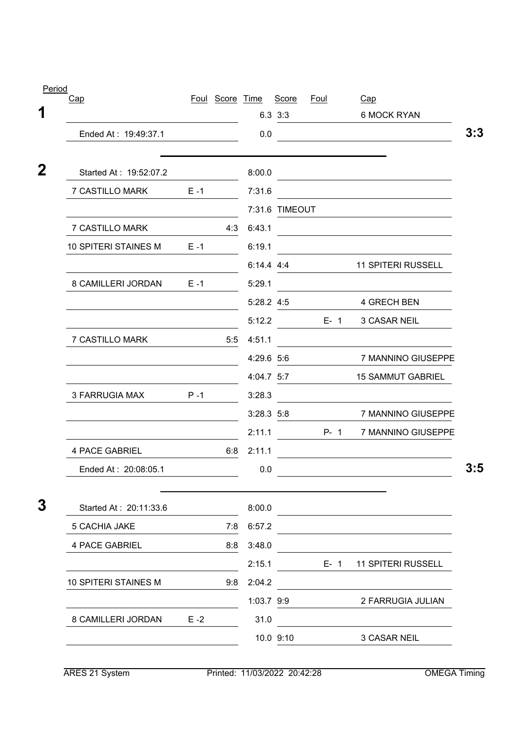| Period<br>Cap          |         | Foul Score Time |              | Score          | Foul         | Cap                                                                                                                  |
|------------------------|---------|-----------------|--------------|----------------|--------------|----------------------------------------------------------------------------------------------------------------------|
|                        |         |                 |              | $6.3 \t3.3$    |              | 6 MOCK RYAN                                                                                                          |
| Ended At: 19:49:37.1   |         |                 | 0.0          |                |              | <u> 1980 - Johann Barbara, martxa alemaniar a</u>                                                                    |
| Started At: 19:52:07.2 |         |                 | 8:00.0       |                |              | <u> 1989 - Johann Stein, mars an deutscher Stein (</u>                                                               |
| 7 CASTILLO MARK        | $E - 1$ |                 | 7:31.6       |                |              | <u> 1980 - Johann Barbara, martxa alemaniar a</u>                                                                    |
|                        |         |                 |              | 7:31.6 TIMEOUT |              |                                                                                                                      |
| 7 CASTILLO MARK        |         | 4:3             | 6:43.1       |                |              | <u> 1989 - Johann Barn, mars eta bat erroman erroman erroman erroman erroman erroman erroman erroman erroman err</u> |
| 10 SPITERI STAINES M   | $E - 1$ |                 | 6:19.1       |                |              |                                                                                                                      |
|                        |         |                 |              |                | $6:14.4$ 4:4 | <b>11 SPITERI RUSSELL</b>                                                                                            |
| 8 CAMILLERI JORDAN E-1 |         |                 | 5:29.1       |                |              |                                                                                                                      |
|                        |         |                 |              | 5:28.2 4:5     |              | 4 GRECH BEN                                                                                                          |
|                        |         |                 | 5:12.2       |                | $E-1$        | 3 CASAR NEIL                                                                                                         |
| 7 CASTILLO MARK        |         |                 | 5:5 4:51.1   |                |              |                                                                                                                      |
|                        |         |                 | 4:29.6 5:6   |                |              | 7 MANNINO GIUSEPPE                                                                                                   |
|                        |         |                 | 4:04.7 5:7   |                |              | <b>15 SAMMUT GABRIEL</b>                                                                                             |
| 3 FARRUGIA MAX         | $P-1$   |                 | 3:28.3       |                |              |                                                                                                                      |
|                        |         |                 | $3:28.3$ 5:8 |                |              | 7 MANNINO GIUSEPPE                                                                                                   |
|                        |         |                 | 2:11.1       |                |              | P- 1 7 MANNINO GIUSEPPE                                                                                              |
| <b>4 PACE GABRIEL</b>  |         | 6:8             | 2:11.1       |                |              |                                                                                                                      |
| Ended At: 20:08:05.1   |         |                 | 0.0          |                |              |                                                                                                                      |
| Started At: 20:11:33.6 |         |                 | 8:00.0       |                |              |                                                                                                                      |
| 5 CACHIA JAKE          |         | 7:8             | 6:57.2       |                |              |                                                                                                                      |
| <b>4 PACE GABRIEL</b>  |         | 8:8             | 3:48.0       |                |              |                                                                                                                      |
|                        |         |                 | 2:15.1       |                | $E - 1$      | <b>11 SPITERI RUSSELL</b>                                                                                            |
| 10 SPITERI STAINES M   |         | 9:8             | 2:04.2       |                |              |                                                                                                                      |
|                        |         |                 | 1:03.7 9:9   |                |              | 2 FARRUGIA JULIAN                                                                                                    |
| 8 CAMILLERI JORDAN     | $E - 2$ |                 | 31.0         |                |              |                                                                                                                      |
|                        |         |                 |              | 10.0 9:10      |              | 3 CASAR NEIL                                                                                                         |